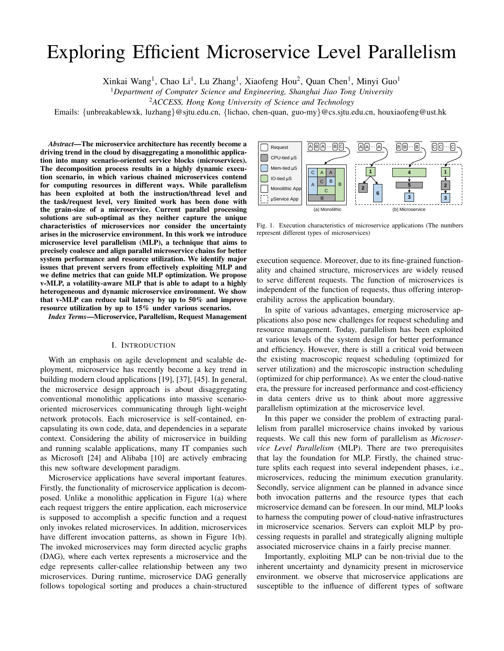# Exploring Efficient Microservice Level Parallelism

Xinkai Wang<sup>1</sup>, Chao Li<sup>1</sup>, Lu Zhang<sup>1</sup>, Xiaofeng Hou<sup>2</sup>, Quan Chen<sup>1</sup>, Minyi Guo<sup>1</sup>

<sup>1</sup>*Department of Computer Science and Engineering, Shanghai Jiao Tong University*

<sup>2</sup>*ACCESS, Hong Kong University of Science and Technology*

Emails: {unbreakablewxk, luzhang}@sjtu.edu.cn, {lichao, chen-quan, guo-my}@cs.sjtu.edu.cn, houxiaofeng@ust.hk

*Abstract*—The microservice architecture has recently become a driving trend in the cloud by disaggregating a monolithic application into many scenario-oriented service blocks (microservices). The decomposition process results in a highly dynamic execution scenario, in which various chained microservices contend for computing resources in different ways. While parallelism has been exploited at both the instruction/thread level and the task/request level, very limited work has been done with the grain-size of a microservice. Current parallel processing solutions are sub-optimal as they neither capture the unique characteristics of microservices nor consider the uncertainty arises in the microservice environment. In this work we introduce microservice level parallelism (MLP), a technique that aims to precisely coalesce and align parallel microservice chains for better system performance and resource utilization. We identify major issues that prevent servers from effectively exploiting MLP and we define metrics that can guide MLP optimization. We propose v-MLP, a volatility-aware MLP that is able to adapt to a highly heterogeneous and dynamic microservice environment. We show that v-MLP can reduce tail latency by up to 50% and improve resource utilization by up to 15% under various scenarios.

*Index Terms*—Microservice, Parallelism, Request Management

#### I. INTRODUCTION

With an emphasis on agile development and scalable deployment, microservice has recently become a key trend in building modern cloud applications [19], [37], [45]. In general, the microservice design approach is about disaggregating conventional monolithic applications into massive scenariooriented microservices communicating through light-weight network protocols. Each microservice is self-contained, encapsulating its own code, data, and dependencies in a separate context. Considering the ability of microservice in building and running scalable applications, many IT companies such as Microsoft [24] and Alibaba [10] are actively embracing this new software development paradigm.

Microservice applications have several important features. Firstly, the functionality of microservice application is decomposed. Unlike a monolithic application in Figure 1(a) where each request triggers the entire application, each microservice is supposed to accomplish a specific function and a request only invokes related microservices. In addition, microservices have different invocation patterns, as shown in Figure 1(b). The invoked microservices may form directed acyclic graphs (DAG), where each vertex represents a microservice and the edge represents caller-callee relationship between any two microservices. During runtime, microservice DAG generally follows topological sorting and produces a chain-structured



Fig. 1. Execution characteristics of microservice applications (The numbers represent different types of microservices)

execution sequence. Moreover, due to its fine-grained functionality and chained structure, microservices are widely reused to serve different requests. The function of microservices is independent of the function of requests, thus offering interoperability across the application boundary.

In spite of various advantages, emerging microservice applications also pose new challenges for request scheduling and resource management. Today, parallelism has been exploited at various levels of the system design for better performance and efficiency. However, there is still a critical void between the existing macroscopic request scheduling (optimized for server utilization) and the microscopic instruction scheduling (optimized for chip performance). As we enter the cloud-native era, the pressure for increased performance and cost-efficiency in data centers drive us to think about more aggressive parallelism optimization at the microservice level.

In this paper we consider the problem of extracting parallelism from parallel microservice chains invoked by various requests. We call this new form of parallelism as *Microservice Level Parallelism* (MLP). There are two prerequisites that lay the foundation for MLP. Firstly, the chained structure splits each request into several independent phases, i.e., microservices, reducing the minimum execution granularity. Secondly, service alignment can be planned in advance since both invocation patterns and the resource types that each microservice demand can be foreseen. In our mind, MLP looks to harness the computing power of cloud-native infrastructures in microservice scenarios. Servers can exploit MLP by processing requests in parallel and strategically aligning multiple associated microservice chains in a fairly precise manner.

Importantly, exploiting MLP can be non-trivial due to the inherent uncertainty and dynamicity present in microservice environment. we observe that microservice applications are susceptible to the influence of different types of software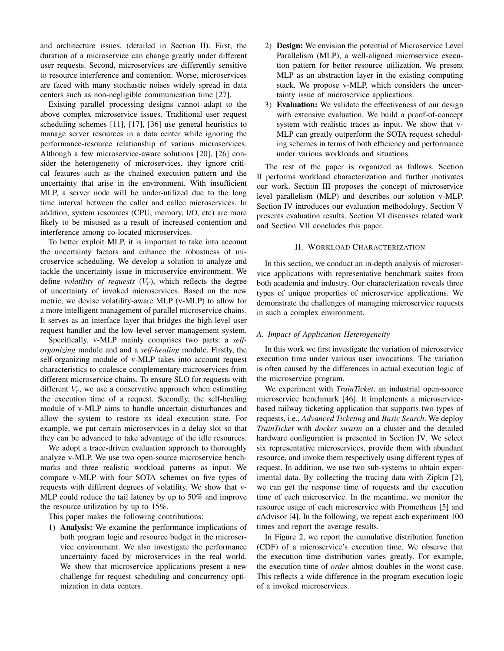and architecture issues. (detailed in Section II). First, the duration of a microservice can change greatly under different user requests. Second, microservices are differently sensitive to resource interference and contention. Worse, microservices are faced with many stochastic noises widely spread in data centers such as non-negligible communication time [27].

Existing parallel processing designs cannot adapt to the above complex microservice issues. Traditional user request scheduling schemes [11], [17], [36] use general heuristics to manage server resources in a data center while ignoring the performance-resource relationship of various microservices. Although a few microservice-aware solutions [20], [26] consider the heterogeneity of microservices, they ignore critical features such as the chained execution pattern and the uncertainty that arise in the environment. With insufficient MLP, a server node will be under-utilized due to the long time interval between the caller and callee microservices. In addition, system resources (CPU, memory, I/O, etc) are more likely to be misused as a result of increased contention and interference among co-located microservices.

To better exploit MLP, it is important to take into account the uncertainty factors and enhance the robustness of microservice scheduling. We develop a solution to analyze and tackle the uncertainty issue in microservice environment. We define *volatility of requests*  $(V_r)$ , which reflects the degree of uncertainty of invoked microservices. Based on the new metric, we devise volatility-aware MLP (v-MLP) to allow for a more intelligent management of parallel microservice chains. It serves as an interface layer that bridges the high-level user request handler and the low-level server management system.

Specifically, v-MLP mainly comprises two parts: a *selforganizing* module and and a *self-healing* module. Firstly, the self-organizing module of v-MLP takes into account request characteristics to coalesce complementary microservices from different microservice chains. To ensure SLO for requests with different  $V_r$ , we use a conservative approach when estimating the execution time of a request. Secondly, the self-healing module of v-MLP aims to handle uncertain disturbances and allow the system to restore its ideal execution state. For example, we put certain microservices in a delay slot so that they can be advanced to take advantage of the idle resources.

We adopt a trace-driven evaluation approach to thoroughly analyze v-MLP. We use two open-source microservice benchmarks and three realistic workload patterns as input. We compare v-MLP with four SOTA schemes on five types of requests with different degrees of volatility. We show that v-MLP could reduce the tail latency by up to 50% and improve the resource utilization by up to 15%.

This paper makes the following contributions:

1) Analysis: We examine the performance implications of both program logic and resource budget in the microservice environment. We also investigate the performance uncertainty faced by microservices in the real world. We show that microservice applications present a new challenge for request scheduling and concurrency optimization in data centers.

- 2) Design: We envision the potential of Microservice Level Parallelism (MLP), a well-aligned microservice execution pattern for better resource utilization. We present MLP as an abstraction layer in the existing computing stack. We propose v-MLP, which considers the uncertainty issue of microservice applications.
- 3) Evaluation: We validate the effectiveness of our design with extensive evaluation. We build a proof-of-concept system with realistic traces as input. We show that v-MLP can greatly outperform the SOTA request scheduling schemes in terms of both efficiency and performance under various workloads and situations.

The rest of the paper is organized as follows. Section II performs workload characterization and further motivates our work. Section III proposes the concept of microservice level parallelism (MLP) and describes our solution v-MLP. Section IV introduces our evaluation methodology. Section V presents evaluation results. Section VI discusses related work and Section VII concludes this paper.

#### II. WORKLOAD CHARACTERIZATION

In this section, we conduct an in-depth analysis of microservice applications with representative benchmark suites from both academia and industry. Our characterization reveals three types of unique properties of microservice applications. We demonstrate the challenges of managing microservice requests in such a complex environment.

# *A. Impact of Application Heterogeneity*

In this work we first investigate the variation of microservice execution time under various user invocations. The variation is often caused by the differences in actual execution logic of the microservice program.

We experiment with *TrainTicket*, an industrial open-source microservice benchmark [46]. It implements a microservicebased railway ticketing application that supports two types of requests, i.e., *Advanced Ticketing* and *Basic Search*. We deploy *TrainTicket* with *docker swarm* on a cluster and the detailed hardware configuration is presented in Section IV. We select six representative microservices, provide them with abundant resource, and invoke them respectively using different types of request. In addition, we use two sub-systems to obtain experimental data. By collecting the tracing data with Zipkin [2], we can get the response time of requests and the execution time of each microservice. In the meantime, we monitor the resource usage of each microservice with Prometheus [5] and cAdvisor [4]. In the following, we repeat each experiment 100 times and report the average results.

In Figure 2, we report the cumulative distribution function (CDF) of a microservice's execution time. We observe that the execution time distribution varies greatly. For example, the execution time of *order* almost doubles in the worst case. This reflects a wide difference in the program execution logic of a invoked microservices.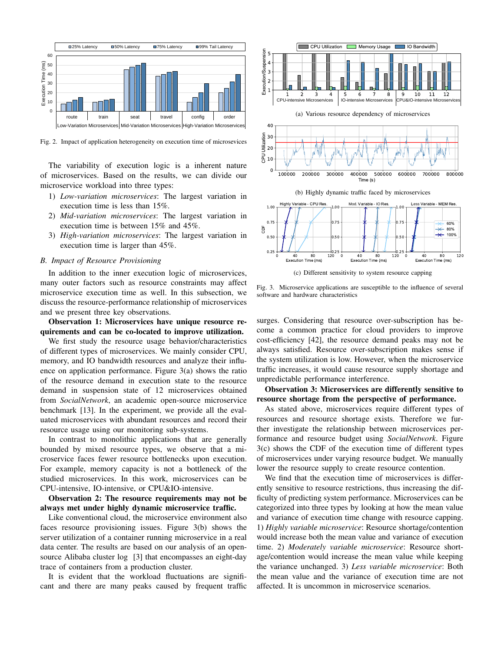

Fig. 2. Impact of application heterogeneity on execution time of microsevices

The variability of execution logic is a inherent nature of microservices. Based on the results, we can divide our microservice workload into three types:

- 1) *Low-variation microservices*: The largest variation in execution time is less than 15%.
- 2) *Mid-variation microservices*: The largest variation in execution time is between 15% and 45%.
- 3) *High-variation microservices*: The largest variation in execution time is larger than 45%.

#### *B. Impact of Resource Provisioning*

In addition to the inner execution logic of microservices, many outer factors such as resource constraints may affect microservice execution time as well. In this subsection, we discuss the resource-performance relationship of microservices and we present three key observations.

Observation 1: Microservices have unique resource requirements and can be co-located to improve utilization.

We first study the resource usage behavior/characteristics of different types of microservices. We mainly consider CPU, memory, and IO bandwidth resources and analyze their influence on application performance. Figure 3(a) shows the ratio of the resource demand in execution state to the resource demand in suspension state of 12 microservices obtained from *SocialNetwork*, an academic open-source microservice benchmark [13]. In the experiment, we provide all the evaluated microservices with abundant resources and record their resource usage using our monitoring sub-systems.

In contrast to monolithic applications that are generally bounded by mixed resource types, we observe that a microservice faces fewer resource bottlenecks upon execution. For example, memory capacity is not a bottleneck of the studied microservices. In this work, microservices can be CPU-intensive, IO-intensive, or CPU&IO-intensive.

Observation 2: The resource requirements may not be always met under highly dynamic microservice traffic.

Like conventional cloud, the microservice environment also faces resource provisioning issues. Figure 3(b) shows the server utilization of a container running microservice in a real data center. The results are based on our analysis of an opensource Alibaba cluster log [3] that encompasses an eight-day trace of containers from a production cluster.

It is evident that the workload fluctuations are significant and there are many peaks caused by frequent traffic



(c) Different sensitivity to system resource capping

Fig. 3. Microservice applications are susceptible to the influence of several software and hardware characteristics

surges. Considering that resource over-subscription has become a common practice for cloud providers to improve cost-efficiency [42], the resource demand peaks may not be always satisfied. Resource over-subscription makes sense if the system utilization is low. However, when the microservice traffic increases, it would cause resource supply shortage and unpredictable performance interference.

# Observation 3: Microservices are differently sensitive to resource shortage from the perspective of performance.

As stated above, microservices require different types of resources and resource shortage exists. Therefore we further investigate the relationship between microservices performance and resource budget using *SocialNetwork*. Figure 3(c) shows the CDF of the execution time of different types of microservices under varying resource budget. We manually lower the resource supply to create resource contention.

We find that the execution time of microservices is differently sensitive to resource restrictions, thus increasing the difficulty of predicting system performance. Microservices can be categorized into three types by looking at how the mean value and variance of execution time change with resource capping. 1) *Highly variable microservice*: Resource shortage/contention would increase both the mean value and variance of execution time. 2) *Moderately variable microservice*: Resource shortage/contention would increase the mean value while keeping the variance unchanged. 3) *Less variable microservice*: Both the mean value and the variance of execution time are not affected. It is uncommon in microservice scenarios.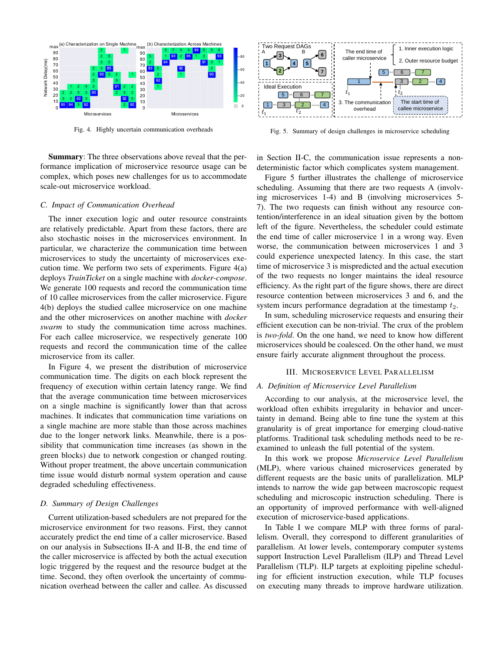

Fig. 4. Highly uncertain communication overheads

Summary: The three observations above reveal that the performance implication of microservice resource usage can be complex, which poses new challenges for us to accommodate scale-out microservice workload.

# *C. Impact of Communication Overhead*

The inner execution logic and outer resource constraints are relatively predictable. Apart from these factors, there are also stochastic noises in the microservices environment. In particular, we characterize the communication time between microservices to study the uncertainty of microservices execution time. We perform two sets of experiments. Figure 4(a) deploys *TrainTicket* on a single machine with *docker-compose*. We generate 100 requests and record the communication time of 10 callee microservices from the caller microservice. Figure 4(b) deploys the studied callee microservice on one machine and the other microservices on another machine with *docker swarm* to study the communication time across machines. For each callee microservice, we respectively generate 100 requests and record the communication time of the callee microservice from its caller.

In Figure 4, we present the distribution of microservice communication time. The digits on each block represent the frequency of execution within certain latency range. We find that the average communication time between microservices on a single machine is significantly lower than that across machines. It indicates that communication time variations on a single machine are more stable than those across machines due to the longer network links. Meanwhile, there is a possibility that communication time increases (as shown in the green blocks) due to network congestion or changed routing. Without proper treatment, the above uncertain communication time issue would disturb normal system operation and cause degraded scheduling effectiveness.

# *D. Summary of Design Challenges*

Current utilization-based schedulers are not prepared for the microservice environment for two reasons. First, they cannot accurately predict the end time of a caller microservice. Based on our analysis in Subsections II-A and II-B, the end time of the caller microservice is affected by both the actual execution logic triggered by the request and the resource budget at the time. Second, they often overlook the uncertainty of communication overhead between the caller and callee. As discussed



Fig. 5. Summary of design challenges in microservice scheduling

in Section II-C, the communication issue represents a nondeterministic factor which complicates system management.

Figure 5 further illustrates the challenge of microservice scheduling. Assuming that there are two requests A (involving microservices 1-4) and B (involving microservices 5- 7). The two requests can finish without any resource contention/interference in an ideal situation given by the bottom left of the figure. Nevertheless, the scheduler could estimate the end time of caller microservice 1 in a wrong way. Even worse, the communication between microservices 1 and 3 could experience unexpected latency. In this case, the start time of microservice 3 is mispredicted and the actual execution of the two requests no longer maintains the ideal resource efficiency. As the right part of the figure shows, there are direct resource contention between microservices 3 and 6, and the system incurs performance degradation at the timestamp  $t_2$ .

In sum, scheduling microservice requests and ensuring their efficient execution can be non-trivial. The crux of the problem is *two-fold*. On the one hand, we need to know how different microservices should be coalesced. On the other hand, we must ensure fairly accurate alignment throughout the process.

#### III. MICROSERVICE LEVEL PARALLELISM

#### *A. Definition of Microservice Level Parallelism*

According to our analysis, at the microservice level, the workload often exhibits irregularity in behavior and uncertainty in demand. Being able to fine tune the system at this granularity is of great importance for emerging cloud-native platforms. Traditional task scheduling methods need to be reexamined to unleash the full potential of the system.

In this work we propose *Microservice Level Parallelism* (MLP), where various chained microservices generated by different requests are the basic units of parallelization. MLP intends to narrow the wide gap between macroscopic request scheduling and microscopic instruction scheduling. There is an opportunity of improved performance with well-aligned execution of microservice-based applications.

In Table I we compare MLP with three forms of parallelism. Overall, they correspond to different granularities of parallelism. At lower levels, contemporary computer systems support Instruction Level Parallelism (ILP) and Thread Level Parallelism (TLP). ILP targets at exploiting pipeline scheduling for efficient instruction execution, while TLP focuses on executing many threads to improve hardware utilization.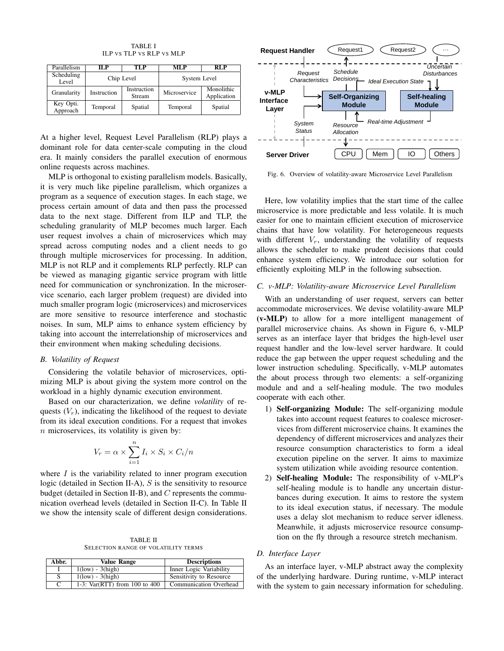TABLE I ILP VS TLP VS RLP VS MLP

| Parallelism           | IL P        | TLP                   | MLP          | RL P                      |
|-----------------------|-------------|-----------------------|--------------|---------------------------|
| Scheduling<br>Level   | Chip Level  |                       | System Level |                           |
| Granularity           | Instruction | Instruction<br>Stream | Microservice | Monolithic<br>Application |
| Key Opti.<br>Approach | Temporal    | Spatial               | Temporal     | Spatial                   |

At a higher level, Request Level Parallelism (RLP) plays a dominant role for data center-scale computing in the cloud era. It mainly considers the parallel execution of enormous online requests across machines.

MLP is orthogonal to existing parallelism models. Basically, it is very much like pipeline parallelism, which organizes a program as a sequence of execution stages. In each stage, we process certain amount of data and then pass the processed data to the next stage. Different from ILP and TLP, the scheduling granularity of MLP becomes much larger. Each user request involves a chain of microservices which may spread across computing nodes and a client needs to go through multiple microservices for processing. In addition, MLP is not RLP and it complements RLP perfectly. RLP can be viewed as managing gigantic service program with little need for communication or synchronization. In the microservice scenario, each larger problem (request) are divided into much smaller program logic (microservices) and microservices are more sensitive to resource interference and stochastic noises. In sum, MLP aims to enhance system efficiency by taking into account the interrelationship of microservices and their environment when making scheduling decisions.

#### *B. Volatility of Request*

Considering the volatile behavior of microservices, optimizing MLP is about giving the system more control on the workload in a highly dynamic execution environment.

Based on our characterization, we define *volatility* of requests  $(V_r)$ , indicating the likelihood of the request to deviate from its ideal execution conditions. For a request that invokes  $n$  microservices, its volatility is given by:

$$
V_r = \alpha \times \sum_{i=1}^n I_i \times S_i \times C_i/n
$$

where  $I$  is the variability related to inner program execution logic (detailed in Section II-A),  $S$  is the sensitivity to resource budget (detailed in Section II-B), and  $C$  represents the communication overhead levels (detailed in Section II-C). In Table II we show the intensity scale of different design considerations.

TABLE II SELECTION RANGE OF VOLATILITY TERMS

| Abbr. | Value Range                     | <b>Descriptions</b>     |
|-------|---------------------------------|-------------------------|
|       | $1$ (low) - $3$ (high)          | Inner Logic Variability |
|       | $1$ (low) - $3$ (high)          | Sensitivity to Resource |
| C     | 1-3: $Var(RTT)$ from 100 to 400 | Communication Overhead  |



Fig. 6. Overview of volatility-aware Microservice Level Parallelism

**L**<br>*I*. **Layer** chains that have low volatility. For heterogeneous requests Here, low volatility implies that the start time of the callee microservice is more predictable and less volatile. It is much easier for one to maintain efficient execution of microservice with different  $V_r$ , understanding the volatility of requests allows the scheduler to make prudent decisions that could enhance system efficiency. We introduce our solution for efficiently exploiting MLP in the following subsection.

#### *C. v-MLP: Volatility-aware Microservice Level Parallelism*

With an understanding of user request, servers can better accommodate microservices. We devise volatility-aware MLP (v-MLP) to allow for a more intelligent management of parallel microservice chains. As shown in Figure 6, v-MLP serves as an interface layer that bridges the high-level user request handler and the low-level server hardware. It could reduce the gap between the upper request scheduling and the lower instruction scheduling. Specifically, v-MLP automates the about process through two elements: a self-organizing module and and a self-healing module. The two modules cooperate with each other.

- 1) Self-organizing Module: The self-organizing module takes into account request features to coalesce microservices from different microservice chains. It examines the dependency of different microservices and analyzes their resource consumption characteristics to form a ideal execution pipeline on the server. It aims to maximize system utilization while avoiding resource contention.
- 2) Self-healing Module: The responsibility of v-MLP's self-healing module is to handle any uncertain disturbances during execution. It aims to restore the system to its ideal execution status, if necessary. The module uses a delay slot mechanism to reduce server idleness. Meanwhile, it adjusts microservice resource consumption on the fly through a resource stretch mechanism.

## *D. Interface Layer*

As an interface layer, v-MLP abstract away the complexity of the underlying hardware. During runtime, v-MLP interact with the system to gain necessary information for scheduling.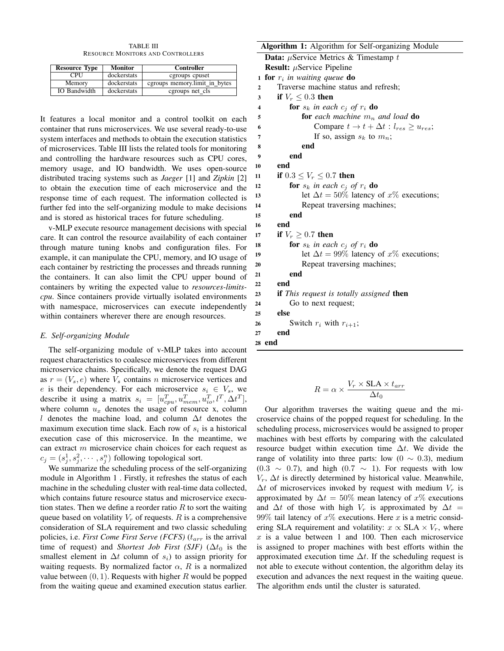TABLE III RESOURCE MONITORS AND CONTROLLERS

| <b>Resource Type</b> | <b>Monitor</b> | Controller                    |
|----------------------|----------------|-------------------------------|
| <b>CPU</b>           | dockerstats    | cgroups cpuset                |
| Memory               | dockerstats    | cgroups memory.limit_in_bytes |
| <b>IO</b> Bandwidth  | dockerstats    | cgroups net_cls               |

It features a local monitor and a control toolkit on each container that runs microservices. We use several ready-to-use system interfaces and methods to obtain the execution statistics of microservices. Table III lists the related tools for monitoring and controlling the hardware resources such as CPU cores, memory usage, and IO bandwidth. We uses open-source distributed tracing systems such as *Jaeger* [1] and *Zipkin* [2] to obtain the execution time of each microservice and the response time of each request. The information collected is further fed into the self-organizing module to make decisions and is stored as historical traces for future scheduling.

v-MLP execute resource management decisions with special care. It can control the resource availability of each container through mature tuning knobs and configuration files. For example, it can manipulate the CPU, memory, and IO usage of each container by restricting the processes and threads running the containers. It can also limit the CPU upper bound of containers by writing the expected value to *resources-limitscpu*. Since containers provide virtually isolated environments with namespace, microservices can execute independently within containers wherever there are enough resources.

# *E. Self-organizing Module*

The self-organizing module of v-MLP takes into account request characteristics to coalesce microservices from different microservice chains. Specifically, we denote the request DAG as  $r = (V_s, e)$  where  $V_s$  contains n microservice vertices and e is their dependency. For each microservice  $s_i \in V_s$ , we describe it using a matrix  $s_i = [u_{cpu}^T, u_{mem}^T, u_{io}^T, l^T, \Delta t^T]$ , where column  $u_x$  denotes the usage of resource x, column l denotes the machine load, and column  $\Delta t$  denotes the maximum execution time slack. Each row of  $s_i$  is a historical execution case of this microservice. In the meantime, we can extract  $m$  microservice chain choices for each request as  $c_j = (s_j^1, s_j^2, \dots, s_j^n)$  following topological sort.

We summarize the scheduling process of the self-organizing module in Algorithm 1 . Firstly, it refreshes the status of each machine in the scheduling cluster with real-time data collected, which contains future resource status and microservice execution states. Then we define a reorder ratio  $R$  to sort the waiting queue based on volatility  $V_r$  of requests. R is a comprehensive consideration of SLA requirement and two classic scheduling policies, i.e. *First Come First Serve (FCFS)* ( $t_{arr}$  is the arrival time of request) and *Shortest Job First (SJF)* ( $\Delta t_0$  is the smallest element in  $\Delta t$  column of  $s_i$ ) to assign priority for waiting requests. By normalized factor  $\alpha$ , R is a normalized value between  $(0, 1)$ . Requests with higher R would be popped from the waiting queue and examined execution status earlier.

# Algorithm 1: Algorithm for Self-organizing Module **Data:**  $\mu$ Service Metrics & Timestamp t **Result:**  $\mu$ Service Pipeline <sup>1</sup> for r<sup>i</sup> *in waiting queue* do 2 Traverse machine status and refresh; 3 if  $V_r \leq 0.3$  then 4 **for**  $s_k$  *in each*  $c_j$  *of*  $r_i$  **do** 5 **for** *each machine*  $m_n$  *and load* **do** 6 Compare  $t \to t + \Delta t : l_{res} \ge u_{res};$ 7 If so, assign  $s_k$  to  $m_n$ ; 8 end 9 end 10 end 11 if  $0.3 \le V_r \le 0.7$  then 12 **for**  $s_k$  *in each*  $c_j$  *of*  $r_i$  **do** 13 let  $\Delta t = 50\%$  latency of  $x\%$  executions; 14 Repeat traversing machines; 15 end 16 end 17 if  $V_r \geq 0.7$  then 18 **for**  $s_k$  *in each*  $c_j$  *of*  $r_i$  **do** 19 let  $\Delta t = 99\%$  latency of x% executions; <sup>20</sup> Repeat traversing machines; 21 end 22 end <sup>23</sup> if *This request is totally assigned* then <sup>24</sup> Go to next request; 25 else 26 Switch  $r_i$  with  $r_{i+1}$ ; 27 end

28 end

$$
R = \alpha \times \frac{V_r \times \text{SLA} \times t_{arr}}{\Delta t_0}
$$

Our algorithm traverses the waiting queue and the microservice chains of the popped request for scheduling. In the scheduling process, microservices would be assigned to proper machines with best efforts by comparing with the calculated resource budget within execution time  $\Delta t$ . We divide the range of volatility into three parts: low  $(0 \sim 0.3)$ , medium  $(0.3 \sim 0.7)$ , and high  $(0.7 \sim 1)$ . For requests with low  $V_r$ ,  $\Delta t$  is directly determined by historical value. Meanwhile,  $\Delta t$  of microservices invoked by request with medium  $V_r$  is approximated by  $\Delta t = 50\%$  mean latency of x% executions and  $\Delta t$  of those with high  $V_r$  is approximated by  $\Delta t =$ 99% tail latency of  $x\%$  executions. Here x is a metric considering SLA requirement and volatility:  $x \propto SLA \times V_r$ , where  $x$  is a value between 1 and 100. Then each microservice is assigned to proper machines with best efforts within the approximated execution time  $\Delta t$ . If the scheduling request is not able to execute without contention, the algorithm delay its execution and advances the next request in the waiting queue. The algorithm ends until the cluster is saturated.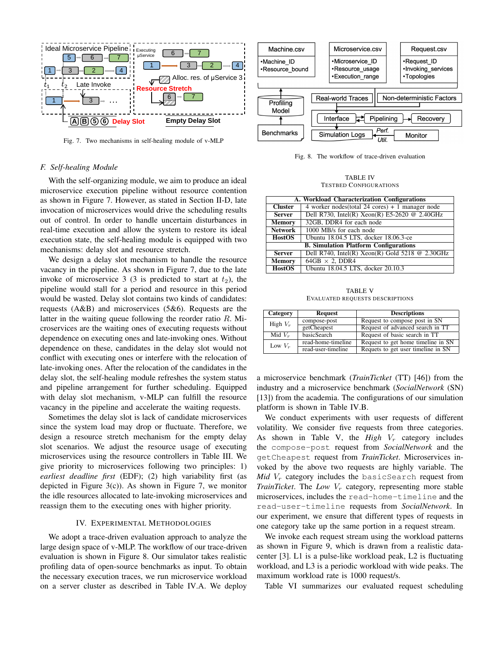

Fig. 7. Two mechanisms in self-healing module of v-MLP

# *F. Self-healing Module*

microservice execution pipeline without resource contention With the self-organizing module, we aim to produce an ideal as shown in Figure 7. However, as stated in Section II-D, late invocation of microservices would drive the scheduling results out of control. In order to handle uncertain disturbances in real-time execution and allow the system to restore its ideal execution state, the self-healing module is equipped with two mechanisms: delay slot and resource stretch.

We design a delay slot mechanism to handle the resource vacancy in the pipeline. As shown in Figure 7, due to the late invoke of microservice 3 (3 is predicted to start at  $t_2$ ), the pipeline would stall for a period and resource in this period would be wasted. Delay slot contains two kinds of candidates: requests (A&B) and microservices (5&6). Requests are the latter in the waiting queue following the reorder ratio R. Microservices are the waiting ones of executing requests without dependence on executing ones and late-invoking ones. Without dependence on these, candidates in the delay slot would not conflict with executing ones or interfere with the relocation of late-invoking ones. After the relocation of the candidates in the delay slot, the self-healing module refreshes the system status and pipeline arrangement for further scheduling. Equipped with delay slot mechanism, v-MLP can fulfill the resource vacancy in the pipeline and accelerate the waiting requests.

Sometimes the delay slot is lack of candidate microservices since the system load may drop or fluctuate. Therefore, we design a resource stretch mechanism for the empty delay slot scenarios. We adjust the resource usage of executing microservices using the resource controllers in Table III. We give priority to microservices following two principles: 1) *earliest deadline first* (EDF); (2) high variability first (as depicted in Figure 3(c)). As shown in Figure 7, we monitor the idle resources allocated to late-invoking microservices and reassign them to the executing ones with higher priority.

# IV. EXPERIMENTAL METHODOLOGIES

We adopt a trace-driven evaluation approach to analyze the large design space of v-MLP. The workflow of our trace-driven evaluation is shown in Figure 8. Our simulator takes realistic profiling data of open-source benchmarks as input. To obtain the necessary execution traces, we run microservice workload on a server cluster as described in Table IV.A. We deploy



Fig. 8. The workflow of trace-driven evaluation

TABLE IV TESTBED CONFIGURATIONS

| A. Workload Characterization Configurations |                                                   |  |
|---------------------------------------------|---------------------------------------------------|--|
| <b>Cluster</b>                              | 4 worker nodes (total 24 cores) $+1$ manager node |  |
| <b>Server</b>                               | Dell R730, Intel(R) Xeon(R) E5-2620 @ 2.40GHz     |  |
| <b>Memory</b>                               | 32GB, DDR4 for each node                          |  |
| <b>Network</b>                              | 1000 MB/s for each node                           |  |
| <b>HostOS</b>                               | Ubuntu 18.04.5 LTS, docker 18.06.3-ce             |  |
|                                             | <b>B. Simulation Platform Configurations</b>      |  |
| <b>Server</b>                               | Dell R740, Intel(R) Xeon(R) Gold 5218 @ 2.30GHz   |  |
| <b>Memory</b>                               | $64GB \times 2$ , DDR4                            |  |
| <b>HostOS</b>                               | Ubuntu 18.04.5 LTS, docker 20.10.3                |  |

TABLE V EVALUATED REQUESTS DESCRIPTIONS

| Category   | <b>Request</b>     | <b>Descriptions</b>                |
|------------|--------------------|------------------------------------|
| High $V_r$ | compose-post       | Request to compose post in SN      |
|            | getCheapest        | Request of advanced search in TT   |
| Mid $V_r$  | <b>basicSearch</b> | Request of basic search in TT      |
| Low $V_r$  | read-home-timeline | Request to get home timeline in SN |
|            | read-user-timeline | Requets to get user timeline in SN |

a microservice benchmark (*TrainTictket* (TT) [46]) from the industry and a microservice benchmark (*SocialNetwork* (SN) [13]) from the academia. The configurations of our simulation platform is shown in Table IV.B.

We conduct experiments with user requests of different volatility. We consider five requests from three categories. As shown in Table V, the  $High$   $V_r$  category includes the compose-post request from *SocialNetwork* and the getCheapest request from *TrainTicket*. Microservices invoked by the above two requests are highly variable. The *Mid*  $V_r$  category includes the basicSearch request from *TrainTicket*. The  $Low\ V<sub>r</sub>$  category, representing more stable microservices, includes the read-home-timeline and the read-user-timeline requests from *SocialNetwork*. In our experiment, we ensure that different types of requests in one category take up the same portion in a request stream.

We invoke each request stream using the workload patterns as shown in Figure 9, which is drawn from a realistic datacenter [3]. L1 is a pulse-like workload peak, L2 is fluctuating workload, and L3 is a periodic workload with wide peaks. The maximum workload rate is 1000 request/s.

Table VI summarizes our evaluated request scheduling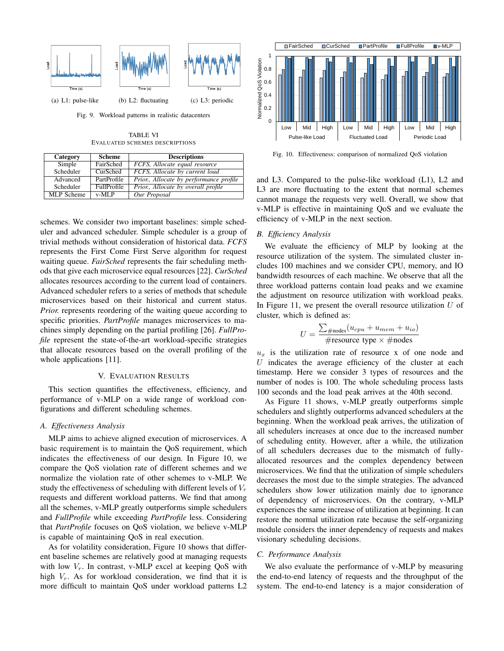

Fig. 9. Workload patterns in realistic datacenters

TABLE VI EVALUATED SCHEMES DESCRIPTIONS

| Category          | <b>Scheme</b>      | <b>Descriptions</b>                     |
|-------------------|--------------------|-----------------------------------------|
| Simple            | FairSched          | FCFS, Allocate equal resource           |
| Scheduler         | CurSched           | FCFS, Allocate by current load          |
| Advanced          | PartProfile        | Prior., Allocate by performance profile |
| Scheduler         | <b>FullProfile</b> | Prior, Allocate by overall profile      |
| <b>MLP</b> Scheme | $v-ML$             | Our Proposal                            |

schemes. We consider two important baselines: simple scheduler and advanced scheduler. Simple scheduler is a group of trivial methods without consideration of historical data. *FCFS* represents the First Come First Serve algorithm for request waiting queue. *FairSched* represents the fair scheduling methods that give each microservice equal resources [22]. *CurSched* allocates resources according to the current load of containers. Advanced scheduler refers to a series of methods that schedule microservices based on their historical and current status. *Prior.* represents reordering of the waiting queue according to specific priorities. *PartProfile* manages microservices to machines simply depending on the partial profiling [26]. *FullProfile* represent the state-of-the-art workload-specific strategies that allocate resources based on the overall profiling of the whole applications [11].

#### V. EVALUATION RESULTS

This section quantifies the effectiveness, efficiency, and performance of v-MLP on a wide range of workload configurations and different scheduling schemes.

# *A. Effectiveness Analysis*

MLP aims to achieve aligned execution of microservices. A basic requirement is to maintain the QoS requirement, which indicates the effectiveness of our design. In Figure 10, we compare the QoS violation rate of different schemes and we normalize the violation rate of other schemes to v-MLP. We study the effectiveness of scheduling with different levels of  $V_r$ requests and different workload patterns. We find that among all the schemes, v-MLP greatly outperforms simple schedulers and *FullProfile* while exceeding *PartProfile* less. Considering that *PartProfile* focuses on QoS violation, we believe v-MLP is capable of maintaining QoS in real execution.

As for volatility consideration, Figure 10 shows that different baseline schemes are relatively good at managing requests with low  $V_r$ . In contrast, v-MLP excel at keeping OoS with high  $V_r$ . As for workload consideration, we find that it is more difficult to maintain QoS under workload patterns L2



Fig. 10. Effectiveness: comparison of normalized QoS violation

efficiency of v-MLP in the next section. v-MLP is effective in maintaining QoS and we evaluate the L3 are more fluctuating to the extent that normal schemes and L3. Compared to the pulse-like workload (L1), L2 and a L c v e cannot manage the requests very well. Overall, we show that

# 0 High Mid Low High Mid Low High Mid Low *B. Efficiency Analysis*

We evaluate the efficiency of MLP by looking at the resource utilization of the system. The simulated cluster includes 100 machines and we consider CPU, memory, and IO bandwidth resources of each machine. We observe that all the three workload patterns contain load peaks and we examine the adjustment on resource utilization with workload peaks. In Figure 11, we present the overall resource utilization  $U$  of cluster, which is defined as:

$$
U = \frac{\sum_{\text{#nodes}} (u_{cpu} + u_{mem} + u_{io})}{\text{#resource type} \times \text{#nodes}}
$$

 $u_x$  is the utilization rate of resource x of one node and  $U$  indicates the average efficiency of the cluster at each timestamp. Here we consider 3 types of resources and the number of nodes is 100. The whole scheduling process lasts 100 seconds and the load peak arrives at the 40th second.

As Figure 11 shows, v-MLP greatly outperforms simple schedulers and slightly outperforms advanced schedulers at the beginning. When the workload peak arrives, the utilization of all schedulers increases at once due to the increased number of scheduling entity. However, after a while, the utilization of all schedulers decreases due to the mismatch of fullyallocated resources and the complex dependency between microservices. We find that the utilization of simple schedulers decreases the most due to the simple strategies. The advanced schedulers show lower utilization mainly due to ignorance of dependency of microservices. On the contrary, v-MLP experiences the same increase of utilization at beginning. It can restore the normal utilization rate because the self-organizing module considers the inner dependency of requests and makes visionary scheduling decisions.

#### *C. Performance Analysis*

We also evaluate the performance of v-MLP by measuring the end-to-end latency of requests and the throughput of the system. The end-to-end latency is a major consideration of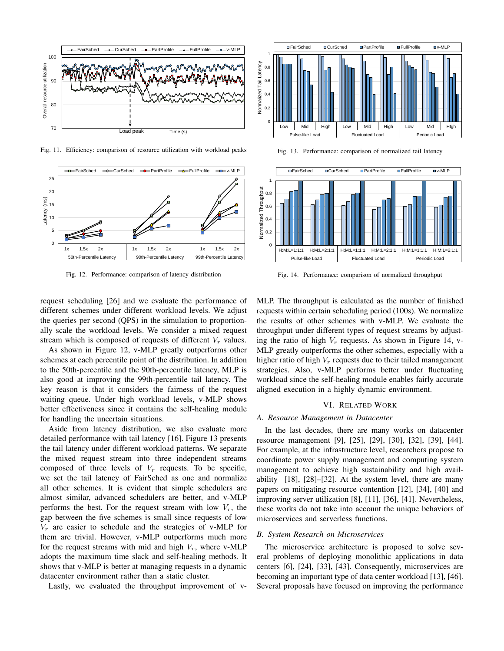

Fig. 11. Efficiency: comparison of resource utilization with workload peaks



Fig. 12. Performance: comparison of latency distribution



Fig. 13. Performance: comparison of normalized tail latency



Fig. 14. Performance: comparison of normalized throughput

request scheduling [26] and we evaluate the performance of different schemes under different workload levels. We adjust the queries per second (QPS) in the simulation to proportionally scale the workload levels. We consider a mixed request stream which is composed of requests of different  $V_r$  values.

As shown in Figure 12, v-MLP greatly outperforms other schemes at each percentile point of the distribution. In addition to the 50th-percentile and the 90th-percentile latency, MLP is also good at improving the 99th-percentile tail latency. The key reason is that it considers the fairness of the request waiting queue. Under high workload levels, v-MLP shows better effectiveness since it contains the self-healing module for handling the uncertain situations.

Aside from latency distribution, we also evaluate more detailed performance with tail latency [16]. Figure 13 presents the tail latency under different workload patterns. We separate the mixed request stream into three independent streams composed of three levels of  $V_r$  requests. To be specific, we set the tail latency of FairSched as one and normalize all other schemes. It is evident that simple schedulers are almost similar, advanced schedulers are better, and v-MLP performs the best. For the request stream with low  $V_r$ , the gap between the five schemes is small since requests of low  $V_r$  are easier to schedule and the strategies of v-MLP for them are trivial. However, v-MLP outperforms much more for the request streams with mid and high  $V_r$ , where v-MLP adopts the maximum time slack and self-healing methods. It shows that v-MLP is better at managing requests in a dynamic datacenter environment rather than a static cluster.

Lastly, we evaluated the throughput improvement of v-

MLP. The throughput is calculated as the number of finished requests within certain scheduling period (100s). We normalize the results of other schemes with v-MLP. We evaluate the throughput under different types of request streams by adjusting the ratio of high  $V_r$  requests. As shown in Figure 14, v-MLP greatly outperforms the other schemes, especially with a higher ratio of high  $V_r$  requests due to their tailed management strategies. Also, v-MLP performs better under fluctuating workload since the self-healing module enables fairly accurate aligned execution in a highly dynamic environment.

#### VI. RELATED WORK

#### *A. Resource Management in Datacenter*

In the last decades, there are many works on datacenter resource management [9], [25], [29], [30], [32], [39], [44]. For example, at the infrastructure level, researchers propose to coordinate power supply management and computing system management to achieve high sustainability and high availability [18], [28]–[32]. At the system level, there are many papers on mitigating resource contention [12], [34], [40] and improving server utilization [8], [11], [36], [41]. Nevertheless, these works do not take into account the unique behaviors of microservices and serverless functions.

# *B. System Research on Microservices*

The microservice architecture is proposed to solve several problems of deploying monolithic applications in data centers [6], [24], [33], [43]. Consequently, microservices are becoming an important type of data center workload [13], [46]. Several proposals have focused on improving the performance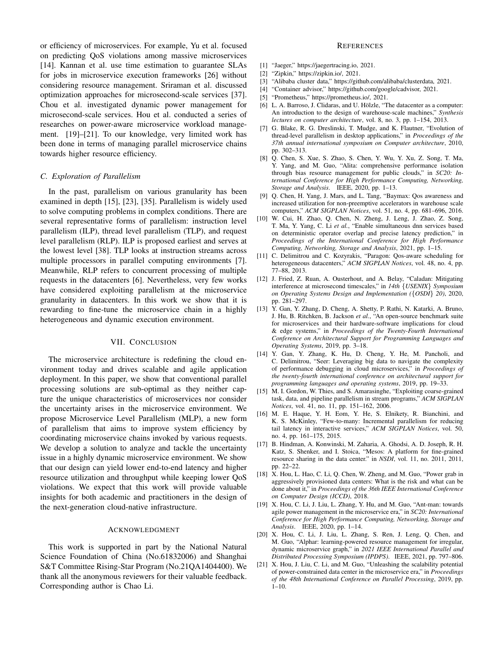or efficiency of microservices. For example, Yu et al. focused on predicting QoS violations among massive microservices [14]. Kannan et al. use time estimation to guarantee SLAs for jobs in microservice execution frameworks [26] without considering resource management. Sriraman et al. discussed optimization approaches for microsecond-scale services [37]. Chou et al. investigated dynamic power management for microsecond-scale services. Hou et al. conducted a series of researches on power-aware microservice workload management. [19]–[21]. To our knowledge, very limited work has been done in terms of managing parallel microservice chains towards higher resource efficiency.

# *C. Exploration of Parallelism*

In the past, parallelism on various granularity has been examined in depth [15], [23], [35]. Parallelism is widely used to solve computing problems in complex conditions. There are several representative forms of parallelism: instruction level parallelism (ILP), thread level parallelism (TLP), and request level parallelism (RLP). ILP is proposed earliest and serves at the lowest level [38]. TLP looks at instruction streams across multiple processors in parallel computing environments [7]. Meanwhile, RLP refers to concurrent processing of multiple requests in the datacenters [6]. Nevertheless, very few works have considered exploiting parallelism at the microservice granularity in datacenters. In this work we show that it is rewarding to fine-tune the microservice chain in a highly heterogeneous and dynamic execution environment.

# VII. CONCLUSION

The microservice architecture is redefining the cloud environment today and drives scalable and agile application deployment. In this paper, we show that conventional parallel processing solutions are sub-optimal as they neither capture the unique characteristics of microservices nor consider the uncertainty arises in the microservice environment. We propose Microservice Level Parallelism (MLP), a new form of parallelism that aims to improve system efficiency by coordinating microservice chains invoked by various requests. We develop a solution to analyze and tackle the uncertainty issue in a highly dynamic microservice environment. We show that our design can yield lower end-to-end latency and higher resource utilization and throughput while keeping lower QoS violations. We expect that this work will provide valuable insights for both academic and practitioners in the design of the next-generation cloud-native infrastructure.

# ACKNOWLEDGMENT

This work is supported in part by the National Natural Science Foundation of China (No.61832006) and Shanghai S&T Committee Rising-Star Program (No.21QA1404400). We thank all the anonymous reviewers for their valuable feedback. Corresponding author is Chao Li.

## **REFERENCES**

- [1] "Jaeger," https://jaegertracing.io, 2021.
- [2] "Zipkin," https://zipkin.io/, 2021.
- [3] "Alibaba cluster data," https://github.com/alibaba/clusterdata, 2021.
- [4] "Container advisor," https://github.com/google/cadvisor, 2021.
- [5] "Prometheus," https://prometheus.io/, 2021.
- [6] L. A. Barroso, J. Clidaras, and U. Hölzle, "The datacenter as a computer: An introduction to the design of warehouse-scale machines," *Synthesis lectures on computer architecture*, vol. 8, no. 3, pp. 1–154, 2013.
- [7] G. Blake, R. G. Dreslinski, T. Mudge, and K. Flautner, "Evolution of thread-level parallelism in desktop applications," in *Proceedings of the 37th annual international symposium on Computer architecture*, 2010, pp. 302–313.
- [8] Q. Chen, S. Xue, S. Zhao, S. Chen, Y. Wu, Y. Xu, Z. Song, T. Ma, Y. Yang, and M. Guo, "Alita: comprehensive performance isolation through bias resource management for public clouds," in *SC20: International Conference for High Performance Computing, Networking, Storage and Analysis*. IEEE, 2020, pp. 1–13.
- [9] Q. Chen, H. Yang, J. Mars, and L. Tang, "Baymax: Qos awareness and increased utilization for non-preemptive accelerators in warehouse scale computers," *ACM SIGPLAN Notices*, vol. 51, no. 4, pp. 681–696, 2016.
- [10] W. Cui, H. Zhao, Q. Chen, N. Zheng, J. Leng, J. Zhao, Z. Song, T. Ma, Y. Yang, C. Li *et al.*, "Enable simultaneous dnn services based on deterministic operator overlap and precise latency prediction," in *Proceedings of the International Conference for High Performance Computing, Networking, Storage and Analysis*, 2021, pp. 1–15.
- [11] C. Delimitrou and C. Kozyrakis, "Paragon: Qos-aware scheduling for heterogeneous datacenters," *ACM SIGPLAN Notices*, vol. 48, no. 4, pp. 77–88, 2013.
- [12] J. Fried, Z. Ruan, A. Ousterhout, and A. Belay, "Caladan: Mitigating interference at microsecond timescales," in *14th* {*USENIX*} *Symposium on Operating Systems Design and Implementation (*{*OSDI*} *20)*, 2020, pp. 281–297.
- [13] Y. Gan, Y. Zhang, D. Cheng, A. Shetty, P. Rathi, N. Katarki, A. Bruno, J. Hu, B. Ritchken, B. Jackson *et al.*, "An open-source benchmark suite for microservices and their hardware-software implications for cloud & edge systems," in *Proceedings of the Twenty-Fourth International Conference on Architectural Support for Programming Languages and Operating Systems*, 2019, pp. 3–18.
- [14] Y. Gan, Y. Zhang, K. Hu, D. Cheng, Y. He, M. Pancholi, and C. Delimitrou, "Seer: Leveraging big data to navigate the complexity of performance debugging in cloud microservices," in *Proceedings of the twenty-fourth international conference on architectural support for programming languages and operating systems*, 2019, pp. 19–33.
- [15] M. I. Gordon, W. Thies, and S. Amarasinghe, "Exploiting coarse-grained task, data, and pipeline parallelism in stream programs," *ACM SIGPLAN Notices*, vol. 41, no. 11, pp. 151–162, 2006.
- [16] M. E. Haque, Y. H. Eom, Y. He, S. Elnikety, R. Bianchini, and K. S. McKinley, "Few-to-many: Incremental parallelism for reducing tail latency in interactive services," *ACM SIGPLAN Notices*, vol. 50, no. 4, pp. 161–175, 2015.
- [17] B. Hindman, A. Konwinski, M. Zaharia, A. Ghodsi, A. D. Joseph, R. H. Katz, S. Shenker, and I. Stoica, "Mesos: A platform for fine-grained resource sharing in the data center." in *NSDI*, vol. 11, no. 2011, 2011, pp. 22–22.
- [18] X. Hou, L. Hao, C. Li, Q. Chen, W. Zheng, and M. Guo, "Power grab in aggressively provisioned data centers: What is the risk and what can be done about it," in *Proceedings of the 36th IEEE International Conference on Computer Design (ICCD)*, 2018.
- [19] X. Hou, C. Li, J. Liu, L. Zhang, Y. Hu, and M. Guo, "Ant-man: towards agile power management in the microservice era," in *SC20: International Conference for High Performance Computing, Networking, Storage and Analysis*. IEEE, 2020, pp. 1–14.
- [20] X. Hou, C. Li, J. Liu, L. Zhang, S. Ren, J. Leng, Q. Chen, and M. Guo, "Alphar: learning-powered resource management for irregular, dynamic microservice graph," in *2021 IEEE International Parallel and Distributed Processing Symposium (IPDPS)*. IEEE, 2021, pp. 797–806.
- [21] X. Hou, J. Liu, C. Li, and M. Guo, "Unleashing the scalability potential of power-constrained data center in the microservice era," in *Proceedings of the 48th International Conference on Parallel Processing*, 2019, pp.  $1-10$ .